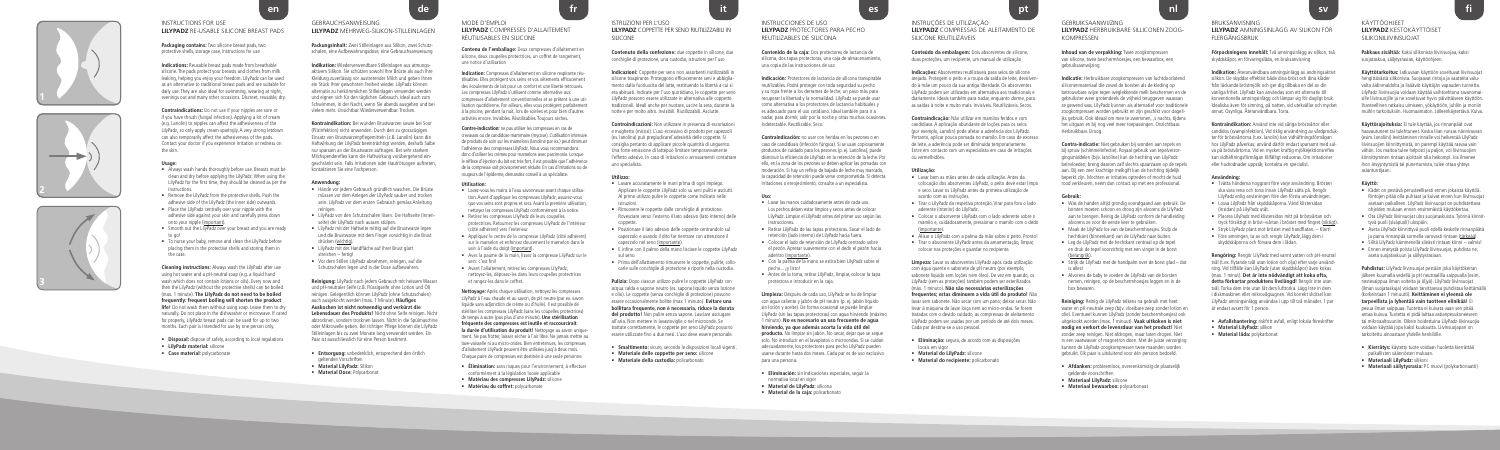**fi**

#### INSTRUCTIONS FOR USE **LILYPADZ** RE-USABLE SILICONE BREAST PADS

**Packaging contains:** Two silicone breast pads, two protective shells, storage case, instructions for use

**Indications:** Reusable breast pads made from breathable silicone. The pads protect your breasts and clothes from milk leaking, helping you enjoy your freedom. LilyPadz can be used as an alternative to traditional breast pads and are suitable for daily use. They are also ideal for swimming, wearing at night, evenings out and many other occasions. Discreet, reusable, dry.

**Contraindications:** Do not use if your nipples are sore or if you have thrush (fungal infection). Applying a lot of cream (e.g. Lanolin) to nipples can affect the adhesiveness of the LilyPadz, so only apply cream sparingly. A very strong letdown can also temporarily affect the adhesiveness of the pads. Contact your doctor if you experience irritation or redness on the skin.

#### **Usage:**

- Always wash hands thoroughly before use. Breasts must be clean and dry before applying the LilyPadz. When using the LilyPadz for the first time, they should be cleaned as per the instructions.
- Remove the LilyPadz from the protective shells. Push the adhesive side of the LilyPadz (the inner side) outwards.
- Place the LilyPadz centrally over your nipple with the adhesive side against your skin and carefully press down onto your nipple (important)
- Smooth out the LilyPadz over your breast and you are ready to go!
- To nurse your baby, remove and clean the LilyPadz before placing them in the protective shells and storing them in the case.

**Cleaning instructions:** Always wash the LilyPadz after use using hot water and a pH-neutral soap (e.g. a liquid hand wash which does not contain lotions or oils). Every now and then the LilyPadz (without the protective shells) can be boiled (max. 1 minute). **The LilyPadz do not need to be boiled frequently: frequent boiling will shorten the product life!** Do not wash them without using soap. Leave them to dry naturally. Do not place in the dishwasher or microwave. If cared for properly, LilyPadz breast pads can be used for up to two months. Each pair is intended for use by one person only.

- **• Disposal:** dispose of safely, according to local regulations
- **• LilyPadz material:** silicone
- **• Case material:** polycarbonate

#### GEBRAUCHSANWEISUNG **LILYPADZ** MEHRWEG-SILIKON-STILLEINLAGEN

**Packungsinhalt:** Zwei Stilleinlagen aus Silikon, zwei Schutz schalen, eine Aufbewahrungsdose, eine Gebrauchsanweisung

**Indikation:** Wiederverwendbare Stilleinlagen aus atmungs aktivem Silikon. Sie schützen sowohl Ihre Brüste als auch Ihre Kleidung zuverlässig vor austretender Milch und geben Ihnen ein Stück Ihrer gewohnten Freiheit wieder. LilyPadz können alternativ zu herkömmlichen Stilleinlagen verwendet werden und eignen sich für den täglichen Gebrauch. Ideal auch zum Schwimmen, in der Nacht, wenn Sie abends ausgehen und bei vielem mehr. Unsichtbar. Wiederverwendbar. Trocken.

**Kontraindikation:** Bei wunden Brustwarzen sowie bei Soor (Pilzinfektion) nicht anwenden. Durch den zu grosszügigen Einsatz von Brustwarzenpflegemitteln (z.B. Lanolin) kann die Haftwirkung der LilyPadz beeinträchtigt werden, deshalb Salbe nur sparsam an der Brustwarze auftragen. Bei sehr starkem Milchspendereflex kann die Haftwirkung vorübergehend ein geschränkt sein. Falls Irritationen oder Hautrötungen auftreten, kontaktieren Sie eine Fachperson.

#### **Anwendung:**

- Hände vor jedem Gebrauch gründlich waschen. Die Brüste müssen vor dem Anlegen der LilyPadz sauber und trocken sein. LilyPadz vor dem ersten Gebrauch gemäss Anleitung reinigen
- LilyPadz von den Schutzschalen lösen. Die Haftseite (Innen seite) der LilyPadz nach aussen stülpen.
- LilyPadz mit der Haftseite mittig auf die Brustwarze legen und die Brustwarze mit dem Finger vorsichtig in die Brust drücken (wichtig).
- LilyPadz mit der Handfläche auf Ihrer Brust glatt streichen – fertig!
- Vor dem Stillen LilyPadz abnehmen, reinigen, auf die Schutzschalen legen und in der Dose aufbewahren.

**Reinigung:** LilyPadz nach jedem Gebrauch mit heissem Wasser und pH-neutraler Seife (z.B. Flüssigseife ohne Lotion und Öl) reinigen. Gelegentlich können LilyPadz (ohne Schutzschalen) auch ausgekocht werden (max. 1 Minute). **Häufiges Auskochen ist nicht notwendig und verkürzt die Lebensdauer des Produkts!** Nicht ohne Seife reinigen. Nicht abtrocknen, sondern trocknen lassen. Nicht in die Spülmaschine oder Mikrowelle geben. Bei richtiger Pflege können die LilyPadz Stilleinlagen bis zu zwei Monate lang verwendet werden. Ein Paar ist ausschliesslich für eine Person bestimmt.

- **• Entsorgung:** unbedenklich, entsprechend den örtlich geltenden Vorschriften
- **• Material LilyPadz:** Silikon
- **• Material Dose:** Polycarbonat

#### ISTRUZIONI PER L'USO **LILYPADZ** COPPETTE PER SENO RIUTILIZZABILI IN SILICONE

**Contenuto della confezione:** due coppette in silicone, due conchiglie di protezione, una custodia, istruzioni per l'uso

**Indicazioni:** Coppette per seno non assorbenti riutilizzabili in silicone traspirante. Proteggono efficacemente seni e abbiglia mento dalla fuoriuscita del latte, restituendo la libertà a cui si era abituati. Indicate per l'uso quotidiano, le coppette per seno LilyPadz possono essere utilizzate in alternativa alle coppette tradizionali. Ideali anche per nuotare, uscire la sera, durante la notte e per molto altro. Invisibili. Riutilizzabili. Asciutte.

**Controindicazioni:** Non utilizzare in presenza di escoriazioni e mughetto (micosi). L'uso eccessivo di prodotti per capezzoli (es. lanolina) può pregiudicarel'adesività delle coppette. Si consiglia pertanto di applicare piccole quantità di unguento. Una forte emissione di lattepuò limitare temporaneamente l'effetto adesivo. In caso di irritazioni o arrossamenti contattare uno specialista.

#### **Utilizzo:**

- Lavare accuratamente le mani prima di ogni impiego. Applicare le coppette LilyPadz solo su seni puliti e asciutti. Al primo utilizzo pulire le coppette come indicato nelle istruzioni.
- Rimuovere le coppette dalle conchiglie di protezione. Rovesciare verso l'esterno il lato adesivo (lato interno) delle coppette.
- Posizionare il lato adesivo delle coppette centrandolo sul capezzolo e usando il dito far rientrare con attenzione il capezzolo nel seno (importante).
- E infine con il palmo della mano lisciare le coppette LilyPadz sul seno.
- Prima dell'allattamento rimuovere le coppette, pulirle, collo carle sulle conchiglie di protezione e riporle nella custodia.

**Pulizia:** Dopo ciascun utilizzo pulire le coppette LilyPadz con acqua calda e sapone neutro (es. sapone liquido senza lozione e olio). Le coppette (senza conchiglie di protezione) possono essere occasionalmente bollite (max 1 minuto). **Evitare una bollitura frequente, non è necessaria, riduce la durata del prodotto!** Non pulire senza sapone. Lasciare asciugare all'aria. Non mettere in lavastoviglie o nel microonde. Se trattate correttamente, le coppette per seno LilyPadz possono essere utilizzate fino a due mesi. L'uso deve essere personale.

- **• Smaltimento:** sicuro, secondo le disposizioni locali vigenti.
- **• Materiale delle coppette per seno:** silicone
- **• Materiale della custodia:** policarbonato

#### INSTRUCCIONES DE USO **LILYPADZ** PROTECTORES PARA PECHO REUTILIZABLES DE SILICONA

**Contenido de la caja:** Dos protectores de lactancia de silicona, dos tapas protectoras, una caja de almacenamiento, una copia de las instrucciones de uso

**Indicación:** Protectores de lactancia de silicona transpirable reutilizables. Podrá proteger con toda seguridad su pecho y su ropa frente a los derrames de leche; un paso más para recuperar la libertad y la normalidad. LilyPadz se puede usar como alternativa a los protectores de lactancia habituales y es adecuado para el uso cotidiano. Ideal también para ir a nadar, para dormir, salir por la noche y otras muchas ocasiones. Indetectable. Reutilizable. Seco.

**Contraindicación:** no usar con heridas en los pezones o en caso de candidiasis (infección fúngica). Si se usan copiosamente productos de cuidado para los pezones (p. ej. Lanolina), puede disminuir la eficiencia de LilyPadz en la retención de la leche. Por ello, en la zona de los pezones se deben aplicar las pomadas con moderación. Si hay un reflejo de bajada de leche muy marcado, la capacidad de retención puede verse comprometida. Si detecta irritaciones o enrojecimiento, consulte a un especialista.

#### **Uso:**

- Lavar las manos cuidadosamente antes de cada uso. Los pechos deben estar limpios y secos antes de colocar LilyPadz. Limpiar el LilyPadz antes del primer uso según las instrucciones.
- Retirar LilyPadz de las tapas protectoras. Sacar el lado de retención (lado interno) de LilyPadz hacia fuera.
- Colocar el lado de retención de LilyPadz centrado sobre el pezón. Apretar suavemente con el dedo el pezón hacia adentro (*importante*).
- Con la palma de la mano se estira bien LilyPadz sobre el pecho... ¡y listo!
- Antes de la toma, retirar LilyPadz, limpiar, colocar la tapa protectora e introducir en la caja.

**Limpieza:** Después de cada uso, LilyPadz se ha de limpiar con agua caliente y jabón de pH neutro (p. ej. jabón líquido sin loción y aceite). De forma ocasional se puede limpiar LilyPadz (sin las tapas protectoras) con agua hirviendo (máximo 1 minuto). **No es necesario un uso frecuente de agua hirviendo, ya que además acorta la vida útil del producto.** No limpiar sin jabón. No secar, dejar que se seque solo. No introducir en el lavaplatos o microondas. Si se cuidan adecuadamente, los protectores para pecho LilyPadz pueden usarse durante hasta dos meses. Cada par es de uso exclusivo para una persona.

- **• Eliminación:** sin indicaciones especiales, seguir la normativa local en vigor
- **• Material de LilyPadz:** silicona
- **• Material de la caja:** policarbonato

### INSTRUÇÕES DE UTILIZAÇÃO **LILYPADZ** COMPRESSAS DE ALEITAMENTO DE SILICONE REUTILIZÁVEIS

**Conteúdo da embalagem:** Dois absorventes de silicone, duas proteções, um recipiente, um manual de utilização

**Indicações:** Absorventes reutilizáveis para seios de silicone arejado. Protegem o peito e a roupa da saída de leite, devolven do à mãe um pouco da sua antiga liberdade. Os absorventes LilyPadz podem ser utilizados em alternativa aos tradicionais e diariamente. Ideais também para nadar, enquanto dorme, para as saídas à noite e muito mais. Invisíveis. Reutilizáveis. Secos.

**Contraindicação:** Não utilizar em mamilos feridos e com candidíase. A aplicação abundante de loções para os seios (por exemplo, Lanolin) pode afetar a aderência dos LilyPadz. Portanto, aplicar pouca pomada no mamilo. Em caso de excesso de leite, a aderência pode ser diminuída temporariamente. Entre em contacto com um especialista em caso de irritações ou vermelhidões.

#### **Utilização:**

- Lavar bem as mãos antes de cada utilização. Antes da colocação dos absorventes LilyPadz, o peito deve estar limpo e seco. Lavar os LilyPadz antes da primeira utilização de acordo com as instruções.
- Tirar o LilyPadz da respetiva proteção. Virar para fora o lado aderente (interior) do LilyPadz.
- Colocar o absorvente LilyPadz com o lado aderente sobre o mamilo e, cuidadosamente, pressionar o mamilo com o dedo<br>(importante).
- Alisar o LilyPadz com a palma da mão sobre o peito. Pronto!
- Tirar o absorvente LilyPadz antes da amamentação, limpar, colocar nas proteções e guardar no recipiente.

**Limpeza:** Lavar os absorventes LilyPadz após cada utilização com água quente e sabonete de pH neutro (por exemplo, sabonete líquido sem loções nem óleo). De vez em quando, os LilyPadz (sem as proteções) também podem ser esterilizados (máx. 1 minuto). **Não são necessárias esterilizações frequentes; estas diminuem a vida útil do produto!** Não lavar sem sabonete. Não secar com um pano; deixar secar. Não levar à máquina de lavar loiça nem ao micro-ondas. Se forem tratadas com o devido cuidado, as compressas de aleitamento LilyPadz podem ser usadas por um período de até dois meses. Cada par destina-se a uso pessoal.

GEBRUIKSAANWIJZING

**LILYPADZ** HERBRUIKBARE SILLICONEN ZOOG -

KOMPRESSEN

**Inhoud van de verpakking:** Twee zoogkompressen van silicone, twee beschermhoesjes, een bewaarbox, een

gebruiksaanwijzing

**Indicatie:** Herbruikbare zoogkompressen van luchtdoorlatend siliconenmateriaal die zowel de borsten als de kleding op betrouwbare wijze tegen weglekkende melk beschermen en de gebruikster weer grotendeels de vrijheid teruggeven waaraan ze gewend was. LilyPadz kunnen als alternatief voor traditionele zoogkompressen worden gebruikt en zijn geschikt voor dageli jks gebruik. Ook ideaal om mee te zwemmen, ,s nachts, tijdens het uitgaan en bij nog veel meer toepassingen. Onzichtbaar.

Herbruikbaar. Droog.

**Contra-indicatie:** Niet gebruiken bij wonden aan tepels en bij spruw (schimmelinfectie). Royaal gebruik van tepelverzor gingsmiddelen (bijv. lanoline) kan de hechting van LilyPadz beïnvloeden; breng daarom zalf slechts spaarzaam op de tepels aan. Bij een zeer krachtige melkgift kan de hechting tijdelijk beperkt zijn. Mochten er irritaties optreden of mocht de huid rood verkleuren, neem dan contact op met een professional.

**Gebruik:**

- **• Eliminação:** segura, de acordo com as disposições locais em vigor
- **• Material do LilyPadz:** silicone
- 
- 
- **• Material do recipiente:** policarbonato
- -
- geldende voorschriften **• Materiaal LilyPadz:** silicone

• Was de handen altijd grondig voorafgaand aan gebruik. De borsten moeten schoon en droog zijn alvorens de LilyPadz aan te brengen. Reinig de LilyPadz conform de handleiding alvorens ze voor de eerste keer te gebruiken. • Maak de LilyPadz los van de beschermhoesjes. Stulp de hechtkant (binnenkant) van de LilyPadz naar buiten. • Leg de LilyPadz met de hechtkant centraal op de tepel en druk de tepel voorzichtig met een vinger in de borst<br>(<u>belangrijk</u>). • Strijk de LilyPadz met de handpalm over de borst glad – dat

is alles!

• Alvorens de baby te voeden de LilyPadz van de borsten nemen, reinigen, op de beschermhoesjes leggen en in de

box bewaren.

**Reiniging:** Reinig de LilyPadz telkens na gebruik met heet water en pH-neutrale zeep (bijv. vloeibare zeep zonder lotion en olie). Eventueel kunnen LilyPadz (zonder beschermhoesjes) ook uitgekookt worden (max. 1 minuut). **Vaak uitkoken is niet nodig en verkort de levensduur van het product!** Niet zonder zeep reinigen. Niet afdrogen, maar laten drogen. Niet in een vaatwasser of magnetron doen. Met de juiste verzorging kunnen de LilyPadz-zoogkompressen twee maanden worden gebruikt. Elk paar is uitsluitend voor één persoon bedoeld. **• Afdanken:** probleemloos, overeenkomstig de plaatselijk

**• Materiaal bewaarbox:** polycarbonaat

#### BRUKSANVISNING **LILYPADZ** AMNINGSINLÄGG AV SILIKON FÖR FLERGÅNGSBRUK

**Förpackningens innehåll:** Två amningsinlägg av silikon, två skyddskåpor, en förvaringslåda, en bruksanvisning

**Indikation:** Återanvändbara amningsinlägg av andningsaktivt silikon. De skyddar effektivt både dina bröst och dina kläder från läckande bröstmjölk och ger dig tillbaka en del av din vanliga frihet. LilyPadz kan användas som ett alternativ till konventionella amningsinlägg och lämpar sig för dagligt bruk. Idealiska även för simning, på natten, vid utekvällar och mycket annat. Osynliga. Återanvändbara. Torra.

**Kontraindikation:** Använd inte vid såriga bröstvårtor eller candidos (svampinfektion). Vid riklig användning av vårdproduk ter för bröstvårtorna (t.ex. lanolin) kan vidhäftningsförmågan hos LilyPadz påverkas; använd därför endast sparsamt med sal va på bröstvårtorna. Vid en mycket kraftig mjölkejektionsreflex kan vidhäftningsförmågan tillfälligt reduceras. Om irritationer eller hudrodnader uppstår, kontakta en specialist.

#### **Användning:**

- Tvätta händerna noggrant före varje användning. Brösten ska vara rena och torra innan LilyPadz sätts på. Rengör LilyPadz enlig anvisningen före den första användningen.
- Lossa LilyPadz från skyddskåporna. Vänd klistersidan (insidan) på LilyPadz utåt.
- Placera LilyPadz med klistersidan mitt på bröstvårtan och tryck försiktigt in bröst¬vårtan i bröstet med fingret (viktigt).
- Stryk LilyPadz plant mot bröstet med handflatan. Klart! • Före amningen, ta av och rengör LilyPadz, lägg dem i
- skyddskåporna och förvara dem i lådan.

**Rengöring:** Rengör LilyPadz med varmt vatten och pH-neutral tvål (t.ex. flytande tvål utan lotion och olja) efter varje använd ning. Vid tillfälle kan LilyPadz (utan skyddskåpor) även kokas (max. 1 minut). **Det är inte nödvändigt att koka ofta, detta förkortar produktens livslängd!** Rengör inte utan tvål. Torka dem inte utan låt dem lufttorka. Lägg inte in dem i diskmaskinen eller mikrovågsugnen. Vid korrekt skötsel kan LilyPadz amningsinlägg användas i upp till två månader. 1 par är endast avsett för 1 person.

- **• Avfallshantering:** riskfritt avfall, enligt lokala föreskrifter
- **• Material LilyPadz:** silikon
- **• Material låda:** polykarbonat

### KÄYTTÖOHJEET **LILYPADZ** KESTOKÄYTTÖISET SILIKONILIIVINSUOJAT

**Pakkaus sisältää:** Kaksi silikonista liivinsuojaa, kaksi suojataskua, säilytysrasian, käyttöohjeen.

**Käyttötarkoitus:** Jatkuvaan käyttöön soveltuvat liivinsuojat hengittävästä silikonista. Suojaavat rintoja ja vaatteita valu valta äidinmaidolta ja lisäävät käyttäjän vapauden tunnetta. LilyPadz liivinsuojia voidaan käyttää vaihtoehtona tavanomai sille liivinsuojille ja ne soveltuvat hyvin päivittäiseen käyttöön. Ihanteellinen ratkaisu uimiseen, yökäyttöön, juhliin ja moniin muihin tarkoituksiin. Huomaamaton. Jälleenkäytettävä. Kuiva.

**Käyttörajoituksia:** Ei tule käyttää, jos rinnanpäät ovat haavautuneet tai tulehtuneet. Koska liian runsas nännirasvan (esim. lanoliini) levittäminen rinnalle voi heikentää LilyPadz liivinsuojien kiinnittymistä, on parempi käyttää rasvaa vain vähän. Jos maitoa tulee helposti ja paljon, voi liivinsuojien kiinnittyminen rintaan ajoittain olla heikompi. Jos ilmenee ihon ärsyyntymistä tai punertumista, tulee ottaa yhteys asiantuntijaan.

#### **Käyttö:**

- Kädet on pestävä perusteellisesti ennen jokaista käyttöä. Rintojen pitää olla puhtaat ja kuivat ennen kun liivinsuojat asetaan paikalleen. LilyPadz liivinsuojat on puhdistettava ohjeiden mukaan ennen ensimmäistä käyttökertaa.
- Ota LilyPadz liivinsuojat ulos suojataskuista. Työnnä kiinnit tyvä puoli (sisäpuoli) ulospäin.
- Aseta LilyPadz kiinnittyvä puoli edellä keskelle rinnanpäätä ja paina rinnanpää sormella varovasti rintaan (tärkeää).
- Silitä LilyPadz kämmenellä sileästi rintaan kiinni valmis!
- Ennen imetystä poista LilyPadz liivinsuojat, puhdista ne, aseta suojataskuun ja säilytysrasiaan.

**Puhdistus:** LilyPadz liivinsuojat pestään joka käyttökerran jälkeen kuumalla vedellä ja pH neutraalilla saippualla (esim. nestesaippua ilman voiteita ja öljyä). LilyPadz liivinsuojat (ilman suojataskuja) voidaan tarvittaessa puhdistaa keittämällä (korkeintaan 1 minuutti). **Keittäminen ei yleensä ole tarpeellista ja lyhentää vain tuotteen elinikää!** Ei pesua ilman saippuaa. Tuotetta ei kuivata vaan sen pitää antaa kuivua. Tuotetta ei pidä laittaa astianpesukoneeseen tai mikroaaltouuniin. Oikein hoidettuina LilyPadz-liivinsuojia voidaan käyttää jopa kaksi kuukautta. Liivinsuojapari on tarkoitettu ainoastaan yhdelle henkilölle.

- **• Kierrätys:** käytetty tuote voidaan huoletta kierrättää paikallisten säännösten mukaan.
- **• Materiaali LilyPadz:** silikoni
- **• Materiaali säilytysrasia:** PC muovi (polykarbonaatti)

**fr**

#### MODE D'EMPLOI **LILYPADZ** COMPRESSES D'ALLAITEMENT RÉUTILISABLES EN SILICONE

**Contenu de l'emballage:** Deux compresses d'allaitement en silicone, deux coupelles protectrices, un coffret de rangement, une notice d'utilisation

**Indication:** Compresses d'allaitement en silicone respirante réu tilisables. Elles protègent vos seins et vos vêtements efficacement des écoulements de lait pour un confort et une liberté retrouvés. Les compresses LilyPadz s'utilisent comme alternative aux compresses d'allaitement conventionnelles et se prêtent à une uti lisation quotidienne. Par ailleurs, elles vous protègent parfaitement à la piscine, pendant la nuit, lors de soirées et pour bien d'autres activités encore. Invisibles. Réutilisables. Toujours sèches.

**Contre-indication:** ne pas utiliser les compresses en cas de crevasses ou de candidose mammaire (mycose). L'utilisation intensive de produits de soin sur les mamelons (lanoline par ex.) peut diminuer l'adhérence des compresses LilyPadz. Nous vous recommandons donc d'utiliser les crèmes pour mamelons avec parcimonie. Lorsque le réflexe d'éjection du lait est très fort, il est possible que l'adhérence de la compresse soit provisoirement réduite. En cas d'irritations ou de rougeurs de l'épiderme, demandez conseil à un spécialiste.

#### **Utilisation:**

- Lavez-vous les mains à l'eau savonneuse avant chaque utilisa tion. Avant d'appliquer les compresses LilyPadz, assurez-vous que vos seins sont propres et secs. Avant la première utilisation, nettoyez les compresses LilyPadz conformément à la notice.
- Retirez les compresses LilyPadz de leurs coupelles protectrices. Retournez les compresses LilyPadz de l'intérieur (côté adhérent) vers l'extérieur.
- Appliquez le centre de la compresse LilyPadz (côté adhérent) sur le mamelon et enfoncez doucement le mamelon dans le sein à l'aide du doigt (important).
- Avec la paume de la main, lissez la compresse LilyPadz sur le sein: c'est fini!
- Avant l'allaitement, retirez les compresses LilyPadz, nettoyez-les, déposez-les dans leurs coupelles protectrices et rangez-les dans le coffret.

**Nettoyage:** Après chaque utilisation, nettoyez les compresses LilyPadz à l'eau chaude et au savon, de pH neutre (par ex. savon liquide sans adjonction de crème ou d'huile). Il est possible de stériliser les compresses LilyPadz (sans les coupelles protectrices) de temps à autre (pas plus d'une minute). **Une stérilisation fréquente des compresses est inutile et raccourcirait la durée d'utilisation du produit!** Nettoyage au savon unique ment. Ne pas frotter, laisser sécher à l'air libre. Ne jamais mettre au lave-vaisselle ni au micro-ondes. Bien entretenues, les compresses d'allaitement LilyPadz peuvent être utilisées jusq'à deux mois. Chaque paire de compresses est destinée à une seule personne.

- **• Élimination:** sans risques pour l'environnement, à effectuer conformément à la législation locale applicable
- **• Matériau des compresses LilyPadz:** silicone
- **• Matériau du coffret:** polycarbonate